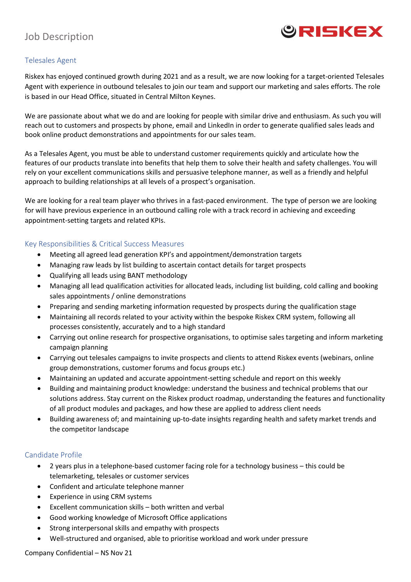

# Job Description

### Telesales Agent

Riskex has enjoyed continued growth during 2021 and as a result, we are now looking for a target-oriented Telesales Agent with experience in outbound telesales to join our team and support our marketing and sales efforts. The role is based in our Head Office, situated in Central Milton Keynes.

We are passionate about what we do and are looking for people with similar drive and enthusiasm. As such you will reach out to customers and prospects by phone, email and LinkedIn in order to generate qualified sales leads and book online product demonstrations and appointments for our sales team.

As a Telesales Agent, you must be able to understand customer requirements quickly and articulate how the features of our products translate into benefits that help them to solve their health and safety challenges. You will rely on your excellent communications skills and persuasive telephone manner, as well as a friendly and helpful approach to building relationships at all levels of a prospect's organisation.

We are looking for a real team player who thrives in a fast-paced environment. The type of person we are looking for will have previous experience in an outbound calling role with a track record in achieving and exceeding appointment-setting targets and related KPIs.

#### Key Responsibilities & Critical Success Measures

- Meeting all agreed lead generation KPI's and appointment/demonstration targets
- Managing raw leads by list building to ascertain contact details for target prospects
- Qualifying all leads using BANT methodology
- Managing all lead qualification activities for allocated leads, including list building, cold calling and booking sales appointments / online demonstrations
- Preparing and sending marketing information requested by prospects during the qualification stage
- Maintaining all records related to your activity within the bespoke Riskex CRM system, following all processes consistently, accurately and to a high standard
- Carrying out online research for prospective organisations, to optimise sales targeting and inform marketing campaign planning
- Carrying out telesales campaigns to invite prospects and clients to attend Riskex events (webinars, online group demonstrations, customer forums and focus groups etc.)
- Maintaining an updated and accurate appointment-setting schedule and report on this weekly
- Building and maintaining product knowledge: understand the business and technical problems that our solutions address. Stay current on the Riskex product roadmap, understanding the features and functionality of all product modules and packages, and how these are applied to address client needs
- Building awareness of; and maintaining up-to-date insights regarding health and safety market trends and the competitor landscape

#### Candidate Profile

- 2 years plus in a telephone-based customer facing role for a technology business this could be telemarketing, telesales or customer services
- Confident and articulate telephone manner
- Experience in using CRM systems
- Excellent communication skills both written and verbal
- Good working knowledge of Microsoft Office applications
- Strong interpersonal skills and empathy with prospects
- Well-structured and organised, able to prioritise workload and work under pressure

#### Company Confidential – NS Nov 21